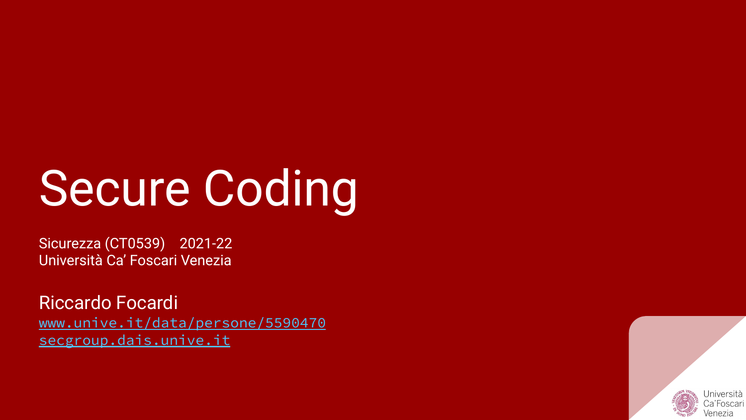# Secure Coding

Sicurezza (CT0539) 2021-22 Università Ca' Foscari Venezia

Riccardo Focardi [www.unive.it/data/persone/5590470](https://www.unive.it/data/persone/5590470) [secgroup.dais.unive.it](https://secgroup.dais.unive.it/teaching/security-1/)

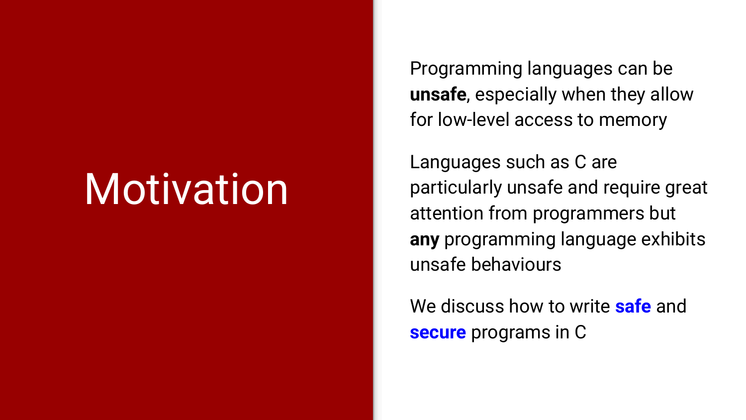# **Motivation**

Programming languages can be **unsafe**, especially when they allow for low-level access to memory

Languages such as C are particularly unsafe and require great attention from programmers but **any** programming language exhibits unsafe behaviours

We discuss how to write **safe** and **secure** programs in C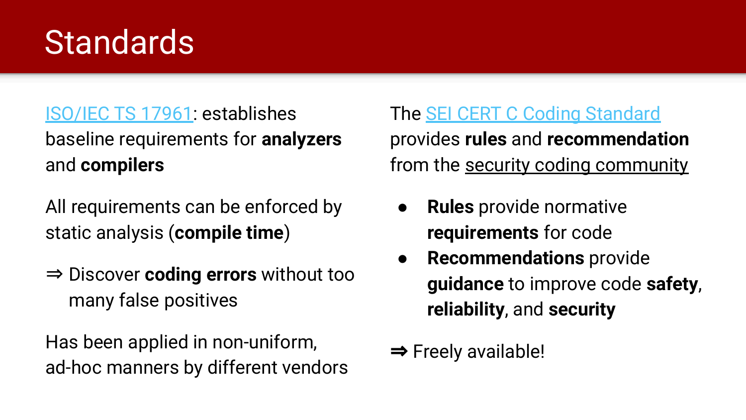#### **Standards**

#### [ISO/IEC TS 17961](https://www.iso.org/standard/61134.html): establishes baseline requirements for **analyzers** and **compilers**

All requirements can be enforced by static analysis (**compile time**)

⇒ Discover **coding errors** without too many false positives

Has been applied in non-uniform, ad-hoc manners by different vendors

#### The [SEI CERT C Coding Standard](https://wiki.sei.cmu.edu/confluence/display/c/SEI+CERT+C+Coding+Standard)

provides **rules** and **recommendation** from the security coding community

- **Rules** provide normative **requirements** for code
- **Recommendations** provide **guidance** to improve code **safety**, **reliability**, and **security**

 $\Rightarrow$  Freely available!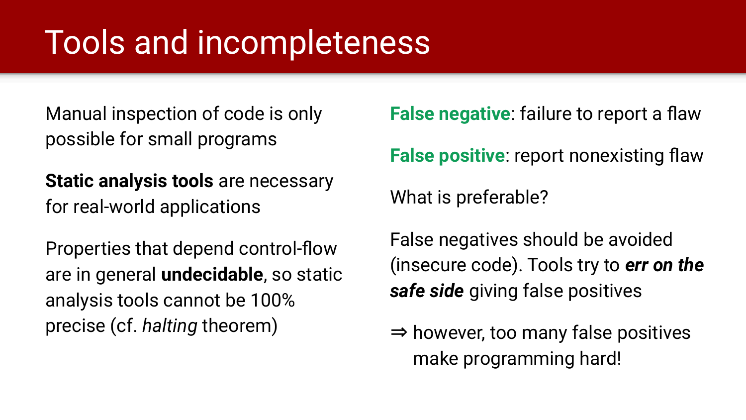### Tools and incompleteness

Manual inspection of code is only possible for small programs

**Static analysis tools** are necessary for real-world applications

Properties that depend control-flow are in general **undecidable**, so static analysis tools cannot be 100% precise (cf. *halting* theorem)

**False negative**: failure to report a flaw

**False positive**: report nonexisting flaw

What is preferable?

False negatives should be avoided (insecure code). Tools try to *err on the safe side* giving false positives

⇒ however, too many false positives make programming hard!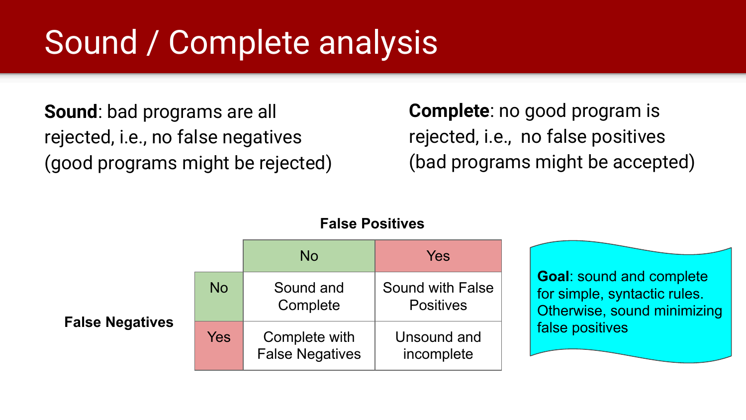### Sound / Complete analysis

**Sound**: bad programs are all rejected, i.e., no false negatives (good programs might be rejected) **Complete**: no good program is rejected, i.e., no false positives (bad programs might be accepted)



#### **False Positives**

**Goal**: sound and complete for simple, syntactic rules. Otherwise, sound minimizing false positives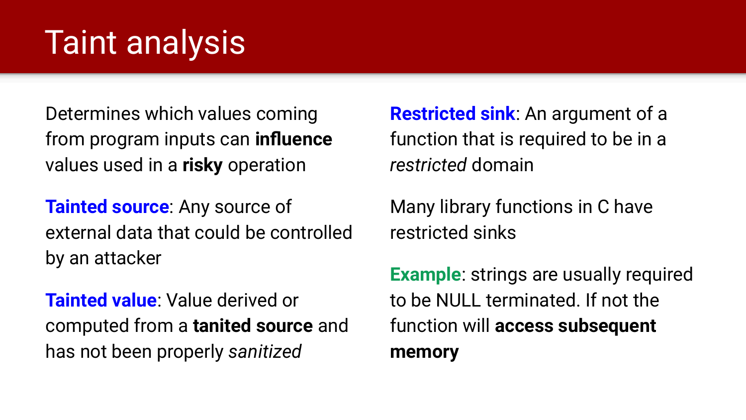### Taint analysis

Determines which values coming from program inputs can **influence** values used in a **risky** operation

**Tainted source**: Any source of external data that could be controlled by an attacker

**Tainted value**: Value derived or computed from a **tanited source** and has not been properly *sanitized*

**Restricted sink**: An argument of a function that is required to be in a *restricted* domain

Many library functions in C have restricted sinks

**Example**: strings are usually required to be NULL terminated. If not the function will **access subsequent memory**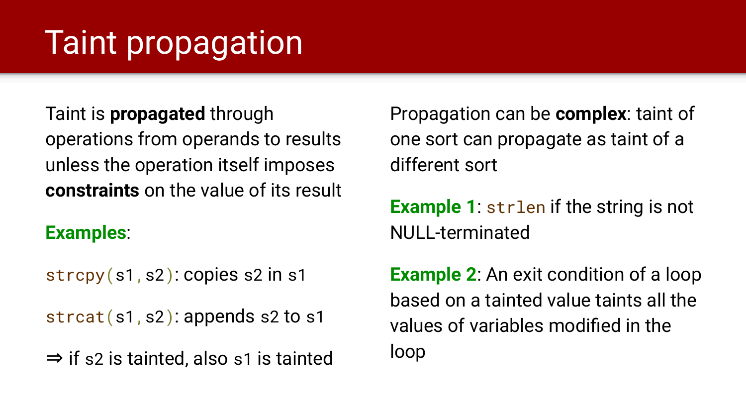# Taint propagation

Taint is **propagated** through operations from operands to results unless the operation itself imposes **constraints** on the value of its result

#### **Examples**:

strcpy(s1,s2): copies s2 in s1

strcat(s1,s2): appends s2 to s1

⇒ if s2 is tainted, also s1 is tainted

Propagation can be **complex**: taint of one sort can propagate as taint of a different sort

**Example 1**: strlen if the string is not NULL-terminated

**Example 2**: An exit condition of a loop based on a tainted value taints all the values of variables modified in the loop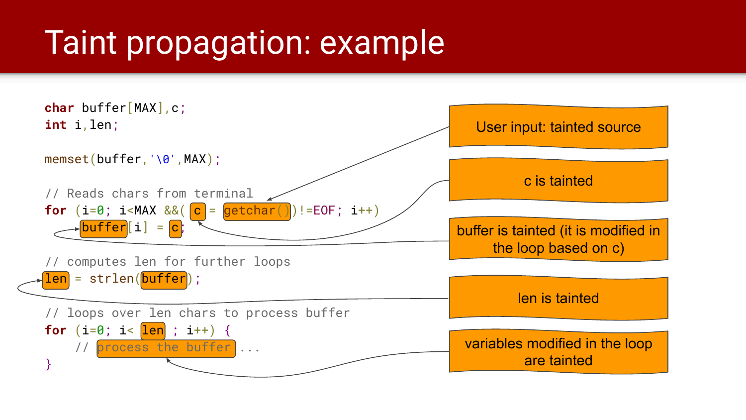### Taint propagation: example

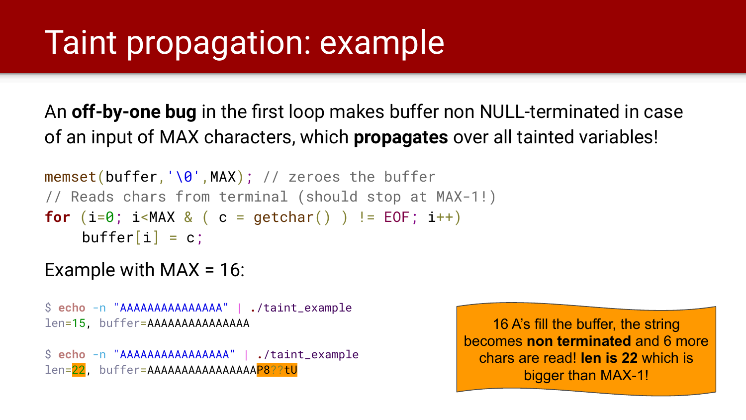### Taint propagation: example

An **off-by-one bug** in the first loop makes buffer non NULL-terminated in case of an input of MAX characters, which **propagates** over all tainted variables!

```
memset(buffer,'\0',MAX); // zeroes the buffer
// Reads chars from terminal (should stop at MAX-1!)
for (i=0; i<</del>MAX & ( <math>c = getchar() ) != EOF; i++)buffer[i] = c;
```
#### Example with  $MAX = 16$ :

```
$ echo -n "AAAAAAAAAAAAAAA" | ./taint_example
len=15, buffer=AAAAAAAAAAAAAAA
```

```
$ echo -n "AAAAAAAAAAAAAAAA" | ./taint_example
len=22, buffer=AAAAAAAAAAAAAAAAAP8??tU
```
16 A's fill the buffer, the string becomes **non terminated** and 6 more chars are read! **len is 22** which is bigger than MAX-1!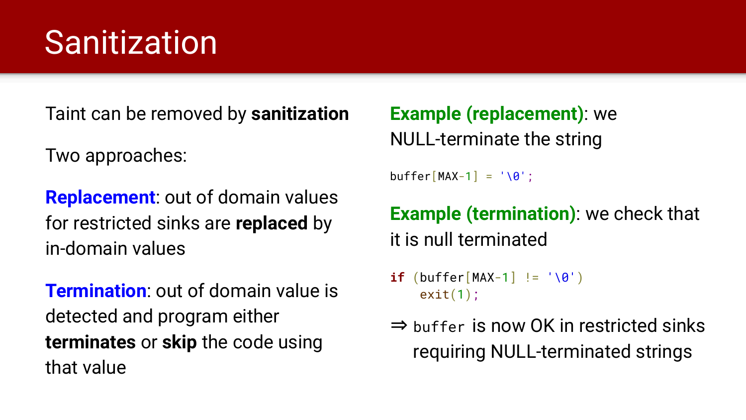### **Sanitization**

Taint can be removed by **sanitization**

Two approaches:

**Replacement**: out of domain values for restricted sinks are **replaced** by in-domain values

**Termination**: out of domain value is detected and program either **terminates** or **skip** the code using that value

**Example (replacement)**: we NULL-terminate the string

 $buffer[MAX-1] = ' \0':$ 

**Example (termination)**: we check that it is null terminated

- **if**  $(\text{buffer}[\text{MAX-1}] := ' \ 0')$  $exit(1);$
- ⇒ buffer is now OK in restricted sinks requiring NULL-terminated strings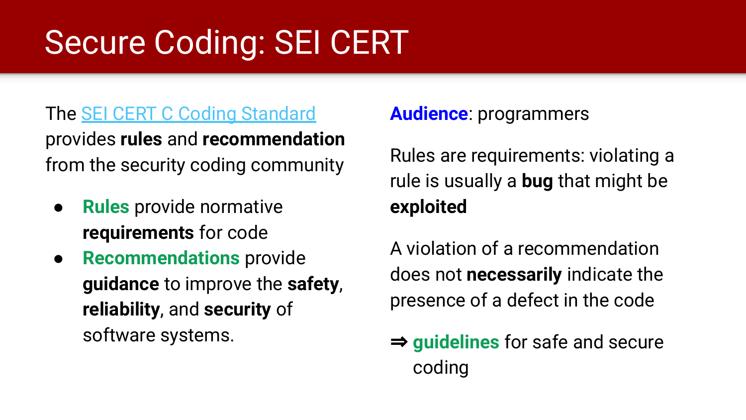# Secure Coding: SEI CERT

#### The [SEI CERT C Coding Standard](https://wiki.sei.cmu.edu/confluence/display/c/SEI+CERT+C+Coding+Standard)

provides **rules** and **recommendation** from the security coding community

- **Rules** provide normative **requirements** for code
- **Recommendations** provide **guidance** to improve the **safety**, **reliability**, and **security** of software systems.

#### **Audience**: programmers

Rules are requirements: violating a rule is usually a **bug** that might be **exploited**

A violation of a recommendation does not **necessarily** indicate the presence of a defect in the code

⇒ **guidelines** for safe and secure coding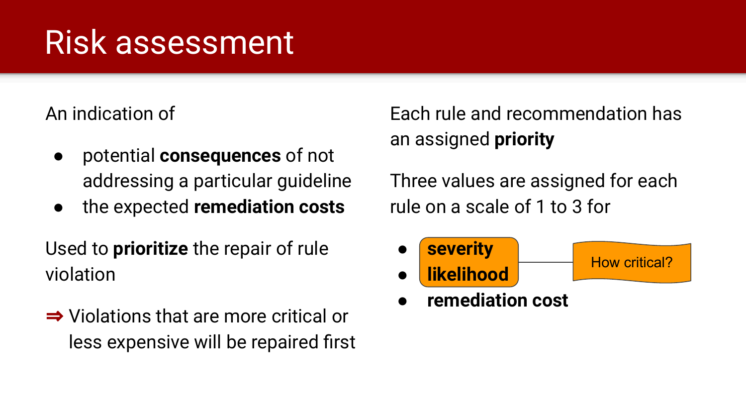### Risk assessment

An indication of

- potential **consequences** of not addressing a particular guideline
- the expected **remediation costs**

Used to **prioritize** the repair of rule violation

⇒ Violations that are more critical or less expensive will be repaired first

Each rule and recommendation has an assigned **priority**

Three values are assigned for each rule on a scale of 1 to 3 for



● **remediation cost**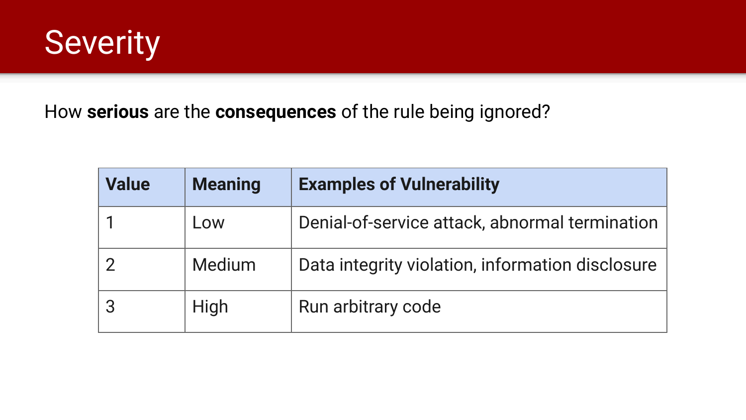

How **serious** are the **consequences** of the rule being ignored?

| <b>Value</b> | <b>Meaning</b> | <b>Examples of Vulnerability</b>                 |
|--------------|----------------|--------------------------------------------------|
|              | Low            | Denial-of-service attack, abnormal termination   |
|              | <b>Medium</b>  | Data integrity violation, information disclosure |
|              | High           | Run arbitrary code                               |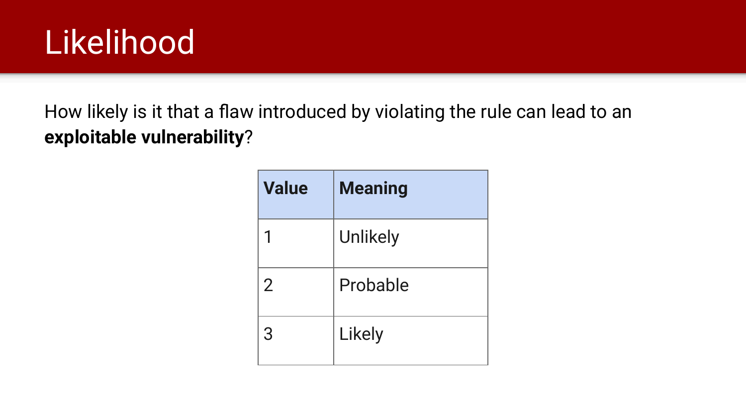

How likely is it that a flaw introduced by violating the rule can lead to an **exploitable vulnerability**?

| <b>Value</b>   | <b>Meaning</b>  |
|----------------|-----------------|
|                | <b>Unlikely</b> |
| $\overline{2}$ | Probable        |
| 3              | Likely          |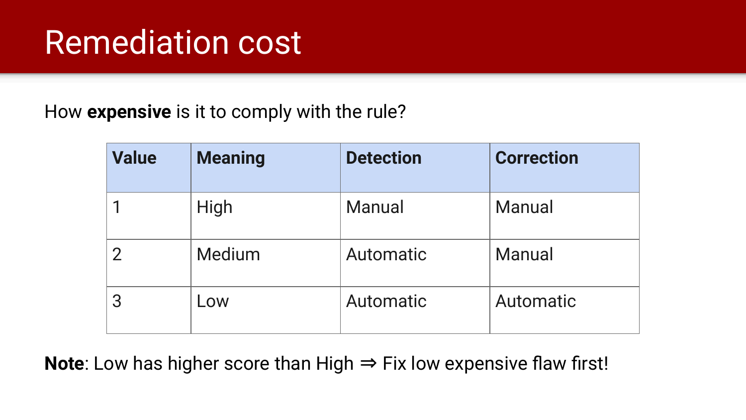#### Remediation cost

How **expensive** is it to comply with the rule?

| <b>Value</b> | <b>Meaning</b> | <b>Detection</b> | <b>Correction</b> |
|--------------|----------------|------------------|-------------------|
|              | High           | <b>Manual</b>    | Manual            |
|              | Medium         | Automatic        | <b>Manual</b>     |
|              | Low            | Automatic        | Automatic         |

Note: Low has higher score than High  $\Rightarrow$  Fix low expensive flaw first!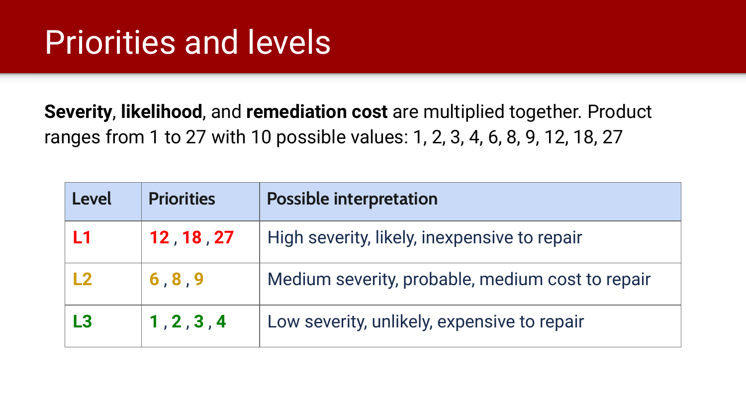#### Priorities and levels

**Severity**, **likelihood**, and **remediation cost** are multiplied together. Product ranges from 1 to 27 with 10 possible values: 1, 2, 3, 4, 6, 8, 9, 12, 18, 27

| Level | <b>Priorities</b> | <b>Possible interpretation</b>                   |
|-------|-------------------|--------------------------------------------------|
| L1    | 12, 18, 27        | High severity, likely, inexpensive to repair     |
| L2    | 6, 8, 9           | Medium severity, probable, medium cost to repair |
| L3    | 1, 2, 3, 4        | Low severity, unlikely, expensive to repair      |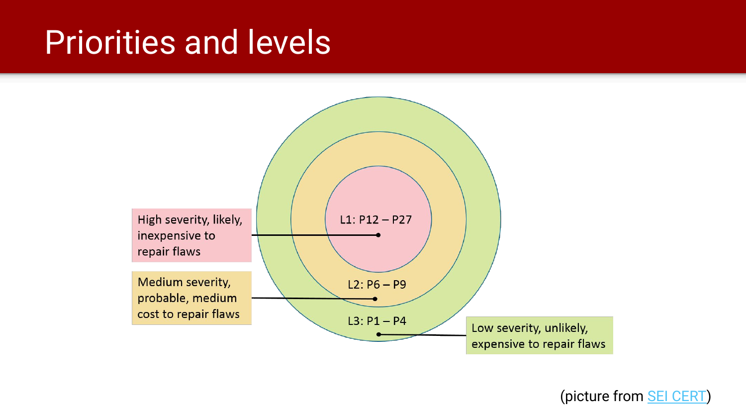#### Priorities and levels



(picture from [SEI CERT\)](https://wiki.sei.cmu.edu/confluence/display/c/How+this+Coding+Standard+is+Organized)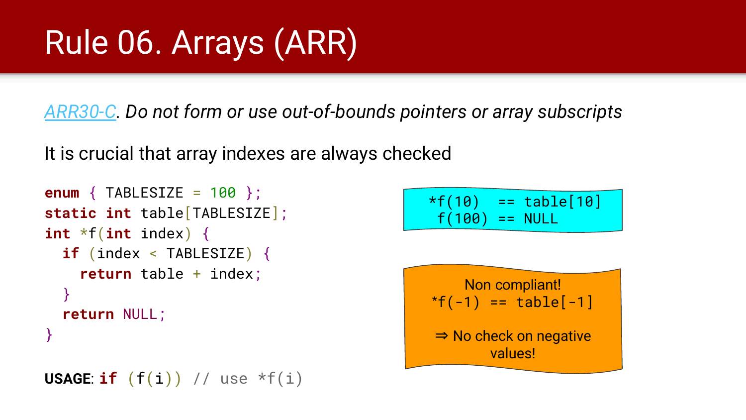*[ARR30-C](https://wiki.sei.cmu.edu/confluence/display/c/ARR30-C.+Do+not+form+or+use+out-of-bounds+pointers+or+array+subscripts). Do not form or use out-of-bounds pointers or array subscripts*

It is crucial that array indexes are always checked

```
enum { TABLESIZE = 100 };
static int table[TABLESIZE];
int *f(int index) {
   if (index < TABLESIZE) {
     return table + index;
   }
   return NULL;
}
```

```
USAGE: if (f(i)) // use *f(i)
```
 $*f(10) == table[10]$  $f(100) == NULL$ 

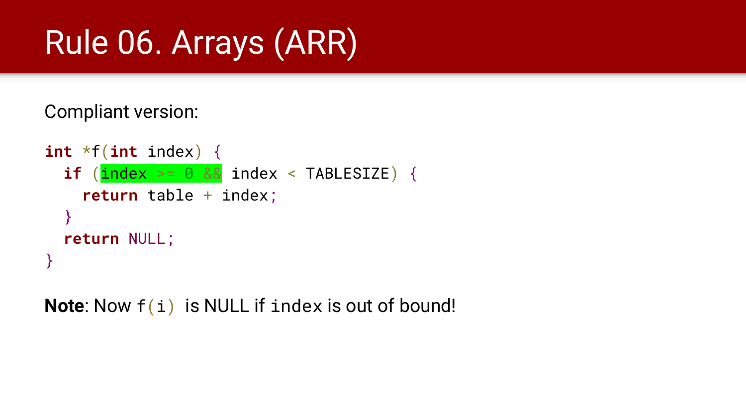Compliant version:

```
int *f(int index) {
  if (\frac{\text{index}}{\ })=0 && index < TABLESIZE) {
     return table + index;
   }
   return NULL;
}
```
Note: Now  $f(i)$  is NULL if index is out of bound!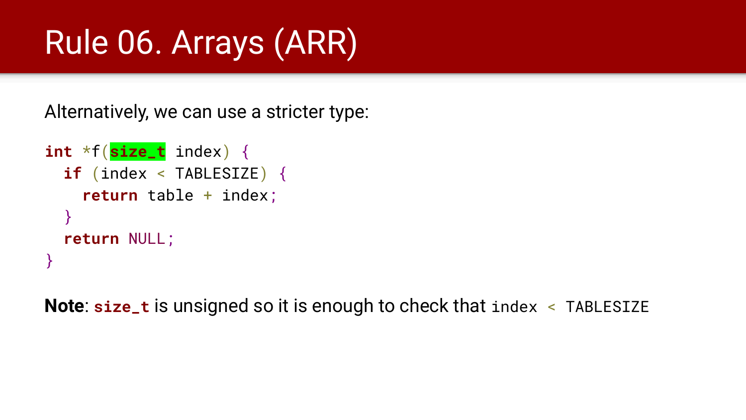Alternatively, we can use a stricter type:

```
int *f(size_t index) {
   if (index < TABLESIZE) {
     return table + index;
   }
   return NULL;
}
```
**Note**: **size\_t** is unsigned so it is enough to check that index < TABLESIZE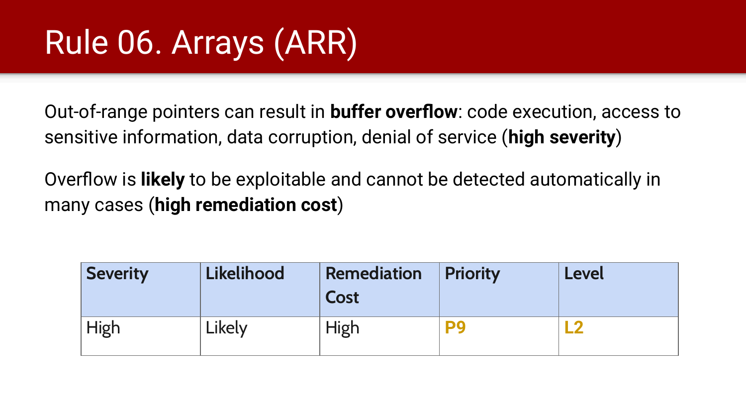Out-of-range pointers can result in **buffer overflow**: code execution, access to sensitive information, data corruption, denial of service (**high severity**)

Overflow is **likely** to be exploitable and cannot be detected automatically in many cases (**high remediation cost**)

| <b>Severity</b> | Likelihood | <b>Remediation</b><br>Cost | <b>Priority</b> | <b>Level</b> |
|-----------------|------------|----------------------------|-----------------|--------------|
| High            | Likely     | High                       |                 |              |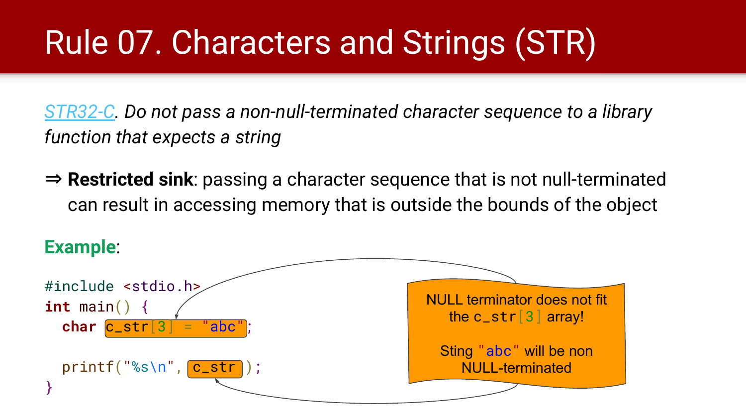# Rule 07. Characters and Strings (STR)

*[STR32-C.](https://wiki.sei.cmu.edu/confluence/display/c/STR32-C.+Do+not+pass+a+non-null-terminated+character+sequence+to+a+library+function+that+expects+a+string) Do not pass a non-null-terminated character sequence to a library function that expects a string*

⇒ **Restricted sink**: passing a character sequence that is not null-terminated can result in accessing memory that is outside the bounds of the object

#### **Example**:

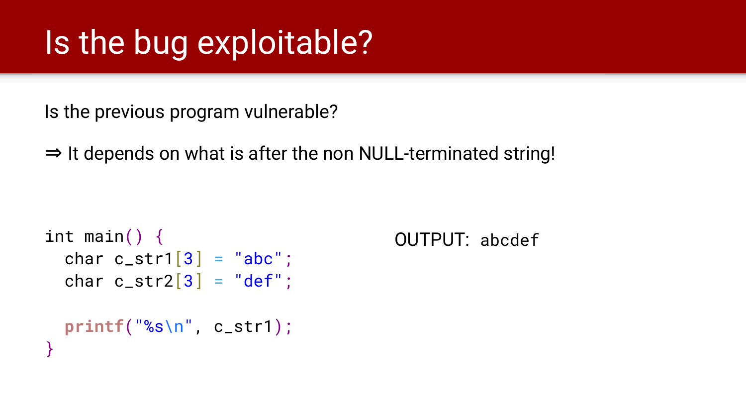### Is the bug exploitable?

Is the previous program vulnerable?

 $\Rightarrow$  It depends on what is after the non NULL-terminated string!

```
int main() \{char c_str1[3] = "abc";
 char c_str2[3] = "def";
  printf("%s\n", c_str1);
}
```
OUTPUT: abcdef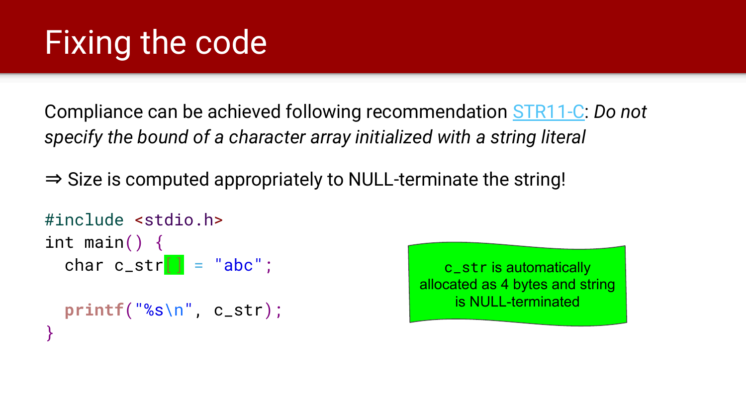# Fixing the code

Compliance can be achieved following recommendation [STR11-C](https://wiki.sei.cmu.edu/confluence/display/c/STR11-C.+Do+not+specify+the+bound+of+a+character+array+initialized+with+a+string+literal): *Do not specify the bound of a character array initialized with a string literal*

 $\Rightarrow$  Size is computed appropriately to NULL-terminate the string!

```
#include <stdio.h>
int main() \{char c_str[] = "abc"; printf("%s\n", c_str);
}
```
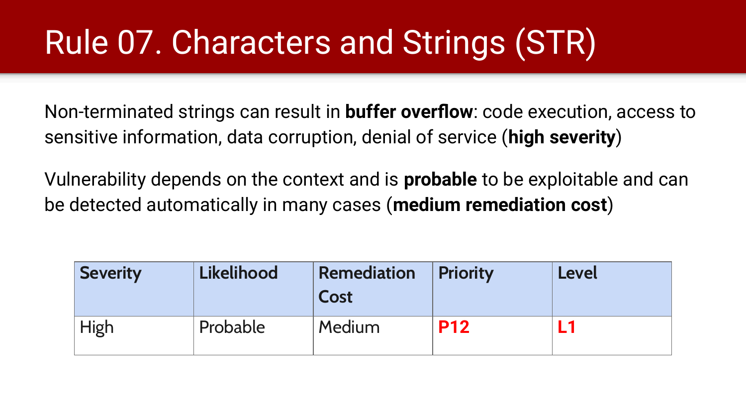# Rule 07. Characters and Strings (STR)

Non-terminated strings can result in **buffer overflow**: code execution, access to sensitive information, data corruption, denial of service (**high severity**)

Vulnerability depends on the context and is **probable** to be exploitable and can be detected automatically in many cases (**medium remediation cost**)

| <b>Severity</b> | Likelihood | <b>Remediation</b><br>Cost | <b>Priority</b> | <b>Level</b> |
|-----------------|------------|----------------------------|-----------------|--------------|
| High            | Probable   | <b>Medium</b>              | <b>P12</b>      |              |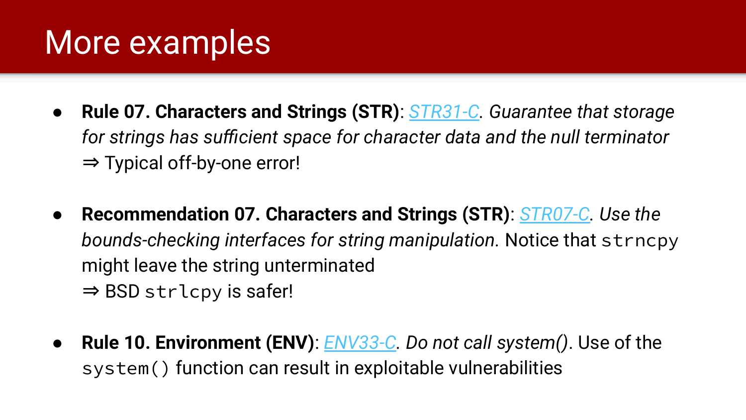#### More examples

- **Rule 07. Characters and Strings (STR)**: *[STR31-C.](https://wiki.sei.cmu.edu/confluence/display/c/STR31-C.+Guarantee+that+storage+for+strings+has+sufficient+space+for+character+data+and+the+null+terminator) Guarantee that storage for strings has sufficient space for character data and the null terminator* ⇒ Typical off-by-one error!
- **Recommendation 07. Characters and Strings (STR)**: *[STR07-C.](https://wiki.sei.cmu.edu/confluence/display/c/STR07-C.+Use+the+bounds-checking+interfaces+for+string+manipulation) Use the bounds-checking interfaces for string manipulation.* Notice that strncpy might leave the string unterminated  $\Rightarrow$  BSD strlcpy is safer!
- **Rule 10. Environment (ENV)**: *[ENV33-C.](https://wiki.sei.cmu.edu/confluence/pages/viewpage.action?pageId=87152177) Do not call system()*. Use of the system() function can result in exploitable vulnerabilities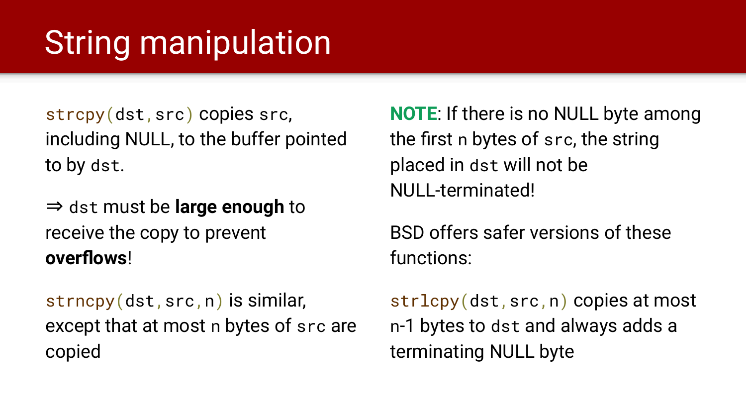### **String manipulation**

strcpy(dst,src) copies src, including NULL, to the buffer pointed to by dst.

⇒ dst must be **large enough** to receive the copy to prevent **overflows**!

strncpy(dst,src,n) is similar, except that at most n bytes of src are copied

**NOTE**: If there is no NULL byte among the first n bytes of src, the string placed in dst will not be NULL-terminated!

BSD offers safer versions of these functions:

strlcpy(dst,src,n) copies at most n-1 bytes to dst and always adds a terminating NULL byte